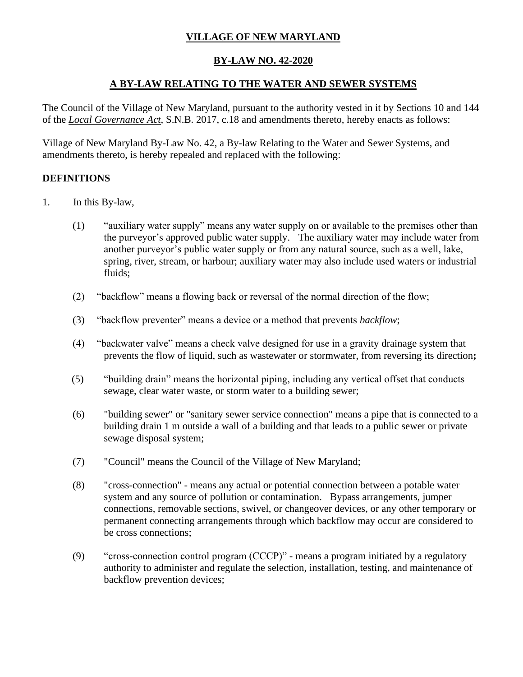## **VILLAGE OF NEW MARYLAND**

### **BY-LAW NO. 42-2020**

### **A BY-LAW RELATING TO THE WATER AND SEWER SYSTEMS**

The Council of the Village of New Maryland, pursuant to the authority vested in it by Sections 10 and 144 of the *Local Governance Act*, S.N.B. 2017, c.18 and amendments thereto, hereby enacts as follows:

Village of New Maryland By-Law No. 42, a By-law Relating to the Water and Sewer Systems, and amendments thereto, is hereby repealed and replaced with the following:

### **DEFINITIONS**

- 1. In this By-law,
	- (1) "auxiliary water supply" means any water supply on or available to the premises other than the purveyor's approved public water supply. The auxiliary water may include water from another purveyor's public water supply or from any natural source, such as a well, lake, spring, river, stream, or harbour; auxiliary water may also include used waters or industrial fluids;
	- (2) "backflow" means a flowing back or reversal of the normal direction of the flow;
	- (3) "backflow preventer" means a device or a method that prevents *backflow*;
	- (4) "backwater valve" means a check valve designed for use in a gravity drainage system that prevents the flow of liquid, such as wastewater or stormwater, from reversing its direction**;**
	- (5) "building drain" means the horizontal piping, including any vertical offset that conducts sewage, clear water waste, or storm water to a building sewer;
	- (6) "building sewer" or "sanitary sewer service connection" means a pipe that is connected to a building drain 1 m outside a wall of a building and that leads to a public sewer or private sewage disposal system;
	- (7) "Council" means the Council of the Village of New Maryland;
	- (8) "cross-connection" means any actual or potential connection between a potable water system and any source of pollution or contamination. Bypass arrangements, jumper connections, removable sections, swivel, or changeover devices, or any other temporary or permanent connecting arrangements through which backflow may occur are considered to be cross connections;
	- (9) "cross-connection control program (CCCP)" means a program initiated by a regulatory authority to administer and regulate the selection, installation, testing, and maintenance of backflow prevention devices;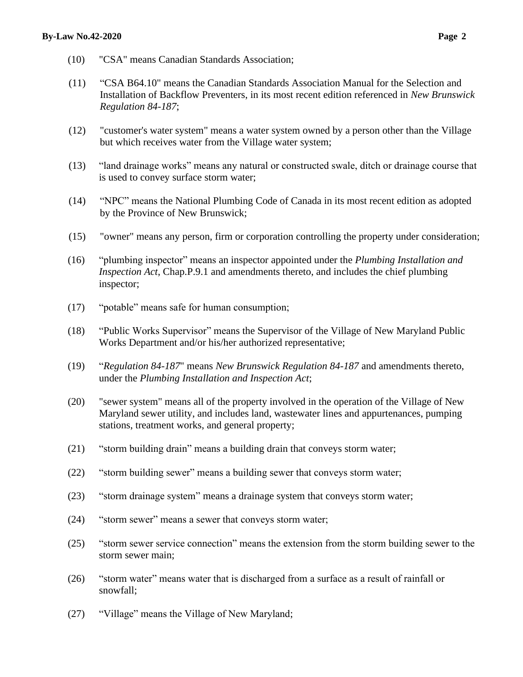- (10) "CSA" means Canadian Standards Association;
- (11) "CSA B64.10" means the Canadian Standards Association Manual for the Selection and Installation of Backflow Preventers, in its most recent edition referenced in *New Brunswick Regulation 84-187*;
- (12) "customer's water system" means a water system owned by a person other than the Village but which receives water from the Village water system;
- (13) "land drainage works" means any natural or constructed swale, ditch or drainage course that is used to convey surface storm water;
- (14) "NPC" means the National Plumbing Code of Canada in its most recent edition as adopted by the Province of New Brunswick;
- (15) "owner" means any person, firm or corporation controlling the property under consideration;
- (16) "plumbing inspector" means an inspector appointed under the *Plumbing Installation and Inspection Act*, Chap.P.9.1 and amendments thereto, and includes the chief plumbing inspector;
- (17) "potable" means safe for human consumption;
- (18) "Public Works Supervisor" means the Supervisor of the Village of New Maryland Public Works Department and/or his/her authorized representative;
- (19) "*Regulation 84-187*" means *New Brunswick Regulation 84-187* and amendments thereto, under the *Plumbing Installation and Inspection Act*;
- (20) "sewer system" means all of the property involved in the operation of the Village of New Maryland sewer utility, and includes land, wastewater lines and appurtenances, pumping stations, treatment works, and general property;
- (21) "storm building drain" means a building drain that conveys storm water;
- (22) "storm building sewer" means a building sewer that conveys storm water;
- (23) "storm drainage system" means a drainage system that conveys storm water;
- (24) "storm sewer" means a sewer that conveys storm water;
- (25) "storm sewer service connection" means the extension from the storm building sewer to the storm sewer main;
- (26) "storm water" means water that is discharged from a surface as a result of rainfall or snowfall;
- (27) "Village" means the Village of New Maryland;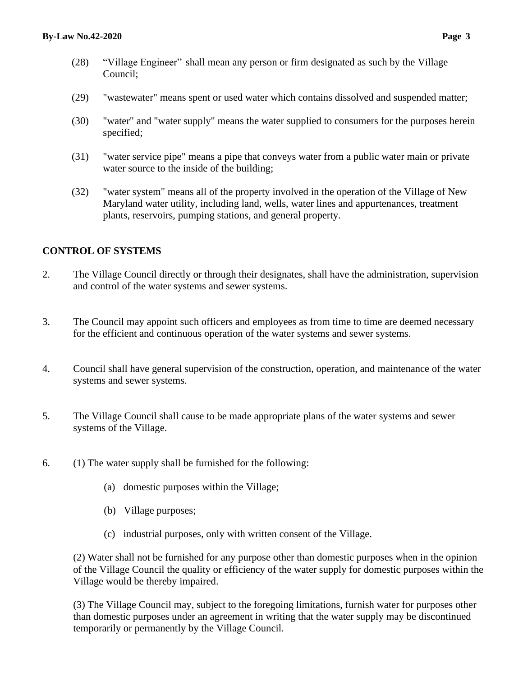- (28) "Village Engineer" shall mean any person or firm designated as such by the Village Council;
- (29) "wastewater" means spent or used water which contains dissolved and suspended matter;
- (30) "water" and "water supply" means the water supplied to consumers for the purposes herein specified;
- (31) "water service pipe" means a pipe that conveys water from a public water main or private water source to the inside of the building;
- (32) "water system" means all of the property involved in the operation of the Village of New Maryland water utility, including land, wells, water lines and appurtenances, treatment plants, reservoirs, pumping stations, and general property.

### **CONTROL OF SYSTEMS**

- 2. The Village Council directly or through their designates, shall have the administration, supervision and control of the water systems and sewer systems.
- 3. The Council may appoint such officers and employees as from time to time are deemed necessary for the efficient and continuous operation of the water systems and sewer systems.
- 4. Council shall have general supervision of the construction, operation, and maintenance of the water systems and sewer systems.
- 5. The Village Council shall cause to be made appropriate plans of the water systems and sewer systems of the Village.
- 6. (1) The water supply shall be furnished for the following:
	- (a) domestic purposes within the Village;
	- (b) Village purposes;
	- (c) industrial purposes, only with written consent of the Village.

(2) Water shall not be furnished for any purpose other than domestic purposes when in the opinion of the Village Council the quality or efficiency of the water supply for domestic purposes within the Village would be thereby impaired.

(3) The Village Council may, subject to the foregoing limitations, furnish water for purposes other than domestic purposes under an agreement in writing that the water supply may be discontinued temporarily or permanently by the Village Council.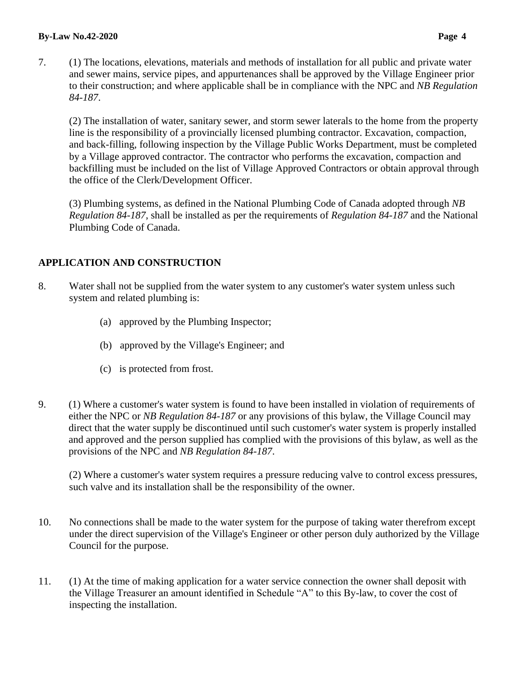7. (1) The locations, elevations, materials and methods of installation for all public and private water and sewer mains, service pipes, and appurtenances shall be approved by the Village Engineer prior to their construction; and where applicable shall be in compliance with the NPC and *NB Regulation 84-187*.

(2) The installation of water, sanitary sewer, and storm sewer laterals to the home from the property line is the responsibility of a provincially licensed plumbing contractor. Excavation, compaction, and back-filling, following inspection by the Village Public Works Department, must be completed by a Village approved contractor. The contractor who performs the excavation, compaction and backfilling must be included on the list of Village Approved Contractors or obtain approval through the office of the Clerk/Development Officer.

(3) Plumbing systems, as defined in the National Plumbing Code of Canada adopted through *NB Regulation 84-187*, shall be installed as per the requirements of *Regulation 84-187* and the National Plumbing Code of Canada.

# **APPLICATION AND CONSTRUCTION**

- 8. Water shall not be supplied from the water system to any customer's water system unless such system and related plumbing is:
	- (a) approved by the Plumbing Inspector;
	- (b) approved by the Village's Engineer; and
	- (c) is protected from frost.
- 9. (1) Where a customer's water system is found to have been installed in violation of requirements of either the NPC or *NB Regulation 84-187* or any provisions of this bylaw, the Village Council may direct that the water supply be discontinued until such customer's water system is properly installed and approved and the person supplied has complied with the provisions of this bylaw, as well as the provisions of the NPC and *NB Regulation 84-187*.

(2) Where a customer's water system requires a pressure reducing valve to control excess pressures, such valve and its installation shall be the responsibility of the owner.

- 10. No connections shall be made to the water system for the purpose of taking water therefrom except under the direct supervision of the Village's Engineer or other person duly authorized by the Village Council for the purpose.
- 11. (1) At the time of making application for a water service connection the owner shall deposit with the Village Treasurer an amount identified in Schedule "A" to this By-law, to cover the cost of inspecting the installation.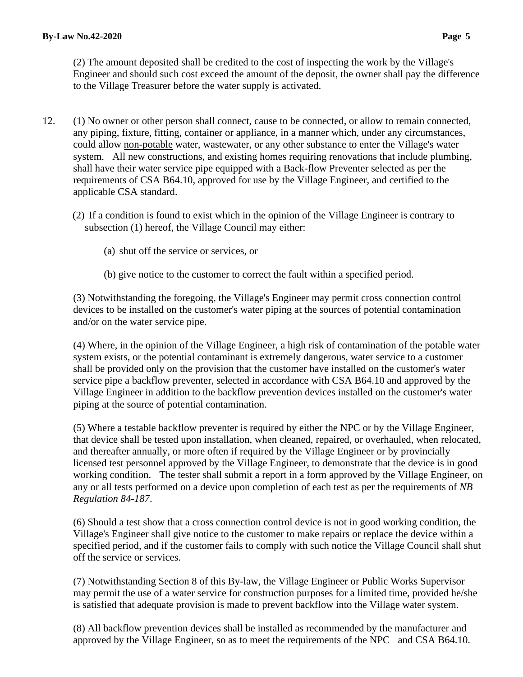(2) The amount deposited shall be credited to the cost of inspecting the work by the Village's Engineer and should such cost exceed the amount of the deposit, the owner shall pay the difference to the Village Treasurer before the water supply is activated.

- 12. (1) No owner or other person shall connect, cause to be connected, or allow to remain connected, any piping, fixture, fitting, container or appliance, in a manner which, under any circumstances, could allow non-potable water, wastewater, or any other substance to enter the Village's water system. All new constructions, and existing homes requiring renovations that include plumbing, shall have their water service pipe equipped with a Back-flow Preventer selected as per the requirements of CSA B64.10, approved for use by the Village Engineer, and certified to the applicable CSA standard.
	- (2) If a condition is found to exist which in the opinion of the Village Engineer is contrary to subsection (1) hereof, the Village Council may either:
		- (a) shut off the service or services, or
		- (b) give notice to the customer to correct the fault within a specified period.

(3) Notwithstanding the foregoing, the Village's Engineer may permit cross connection control devices to be installed on the customer's water piping at the sources of potential contamination and/or on the water service pipe.

(4) Where, in the opinion of the Village Engineer, a high risk of contamination of the potable water system exists, or the potential contaminant is extremely dangerous, water service to a customer shall be provided only on the provision that the customer have installed on the customer's water service pipe a backflow preventer, selected in accordance with CSA B64.10 and approved by the Village Engineer in addition to the backflow prevention devices installed on the customer's water piping at the source of potential contamination.

(5) Where a testable backflow preventer is required by either the NPC or by the Village Engineer, that device shall be tested upon installation, when cleaned, repaired, or overhauled, when relocated, and thereafter annually, or more often if required by the Village Engineer or by provincially licensed test personnel approved by the Village Engineer, to demonstrate that the device is in good working condition. The tester shall submit a report in a form approved by the Village Engineer, on any or all tests performed on a device upon completion of each test as per the requirements of *NB Regulation 84-187*.

(6) Should a test show that a cross connection control device is not in good working condition, the Village's Engineer shall give notice to the customer to make repairs or replace the device within a specified period, and if the customer fails to comply with such notice the Village Council shall shut off the service or services.

(7) Notwithstanding Section 8 of this By-law, the Village Engineer or Public Works Supervisor may permit the use of a water service for construction purposes for a limited time, provided he/she is satisfied that adequate provision is made to prevent backflow into the Village water system.

(8) All backflow prevention devices shall be installed as recommended by the manufacturer and approved by the Village Engineer, so as to meet the requirements of the NPC and CSA B64.10.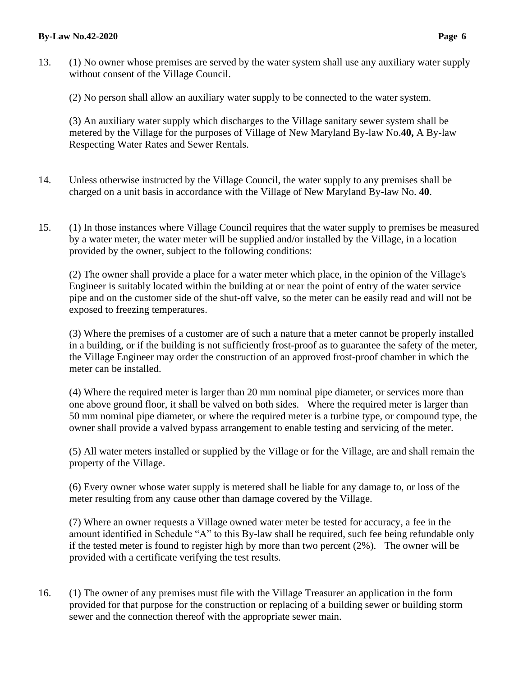#### **By-Law No.42-2020 Page 6**

- 13. (1) No owner whose premises are served by the water system shall use any auxiliary water supply without consent of the Village Council.
	- (2) No person shall allow an auxiliary water supply to be connected to the water system.

(3) An auxiliary water supply which discharges to the Village sanitary sewer system shall be metered by the Village for the purposes of Village of New Maryland By-law No.**40,** A By-law Respecting Water Rates and Sewer Rentals.

- 14. Unless otherwise instructed by the Village Council, the water supply to any premises shall be charged on a unit basis in accordance with the Village of New Maryland By-law No. **40**.
- 15. (1) In those instances where Village Council requires that the water supply to premises be measured by a water meter, the water meter will be supplied and/or installed by the Village, in a location provided by the owner, subject to the following conditions:

(2) The owner shall provide a place for a water meter which place, in the opinion of the Village's Engineer is suitably located within the building at or near the point of entry of the water service pipe and on the customer side of the shut-off valve, so the meter can be easily read and will not be exposed to freezing temperatures.

(3) Where the premises of a customer are of such a nature that a meter cannot be properly installed in a building, or if the building is not sufficiently frost-proof as to guarantee the safety of the meter, the Village Engineer may order the construction of an approved frost-proof chamber in which the meter can be installed.

(4) Where the required meter is larger than 20 mm nominal pipe diameter, or services more than one above ground floor, it shall be valved on both sides. Where the required meter is larger than 50 mm nominal pipe diameter, or where the required meter is a turbine type, or compound type, the owner shall provide a valved bypass arrangement to enable testing and servicing of the meter.

(5) All water meters installed or supplied by the Village or for the Village, are and shall remain the property of the Village.

(6) Every owner whose water supply is metered shall be liable for any damage to, or loss of the meter resulting from any cause other than damage covered by the Village.

(7) Where an owner requests a Village owned water meter be tested for accuracy, a fee in the amount identified in Schedule "A" to this By-law shall be required, such fee being refundable only if the tested meter is found to register high by more than two percent (2%). The owner will be provided with a certificate verifying the test results.

16. (1) The owner of any premises must file with the Village Treasurer an application in the form provided for that purpose for the construction or replacing of a building sewer or building storm sewer and the connection thereof with the appropriate sewer main.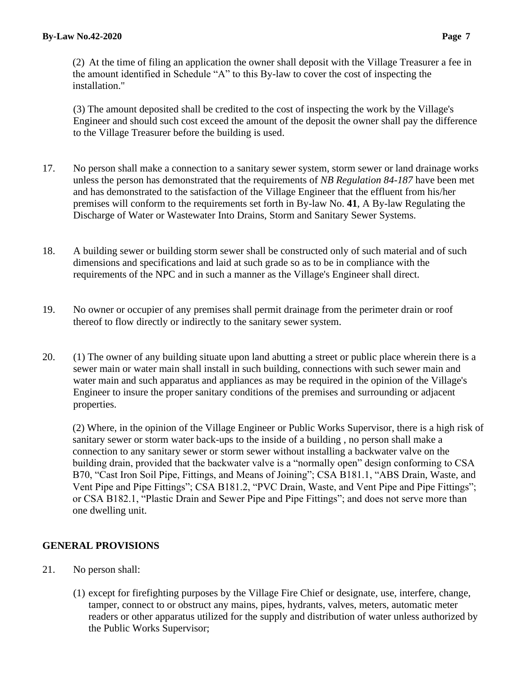(2) At the time of filing an application the owner shall deposit with the Village Treasurer a fee in the amount identified in Schedule "A" to this By-law to cover the cost of inspecting the installation."

(3) The amount deposited shall be credited to the cost of inspecting the work by the Village's Engineer and should such cost exceed the amount of the deposit the owner shall pay the difference to the Village Treasurer before the building is used.

- 17. No person shall make a connection to a sanitary sewer system, storm sewer or land drainage works unless the person has demonstrated that the requirements of *NB Regulation 84-187* have been met and has demonstrated to the satisfaction of the Village Engineer that the effluent from his/her premises will conform to the requirements set forth in By-law No. **41**, A By-law Regulating the Discharge of Water or Wastewater Into Drains, Storm and Sanitary Sewer Systems.
- 18. A building sewer or building storm sewer shall be constructed only of such material and of such dimensions and specifications and laid at such grade so as to be in compliance with the requirements of the NPC and in such a manner as the Village's Engineer shall direct.
- 19. No owner or occupier of any premises shall permit drainage from the perimeter drain or roof thereof to flow directly or indirectly to the sanitary sewer system.
- 20. (1) The owner of any building situate upon land abutting a street or public place wherein there is a sewer main or water main shall install in such building, connections with such sewer main and water main and such apparatus and appliances as may be required in the opinion of the Village's Engineer to insure the proper sanitary conditions of the premises and surrounding or adjacent properties.

(2) Where, in the opinion of the Village Engineer or Public Works Supervisor, there is a high risk of sanitary sewer or storm water back-ups to the inside of a building , no person shall make a connection to any sanitary sewer or storm sewer without installing a backwater valve on the building drain, provided that the backwater valve is a "normally open" design conforming to CSA B70, "Cast Iron Soil Pipe, Fittings, and Means of Joining"; CSA B181.1, "ABS Drain, Waste, and Vent Pipe and Pipe Fittings"; CSA B181.2, "PVC Drain, Waste, and Vent Pipe and Pipe Fittings"; or CSA B182.1, "Plastic Drain and Sewer Pipe and Pipe Fittings"; and does not serve more than one dwelling unit.

## **GENERAL PROVISIONS**

- 21. No person shall:
	- (1) except for firefighting purposes by the Village Fire Chief or designate, use, interfere, change, tamper, connect to or obstruct any mains, pipes, hydrants, valves, meters, automatic meter readers or other apparatus utilized for the supply and distribution of water unless authorized by the Public Works Supervisor;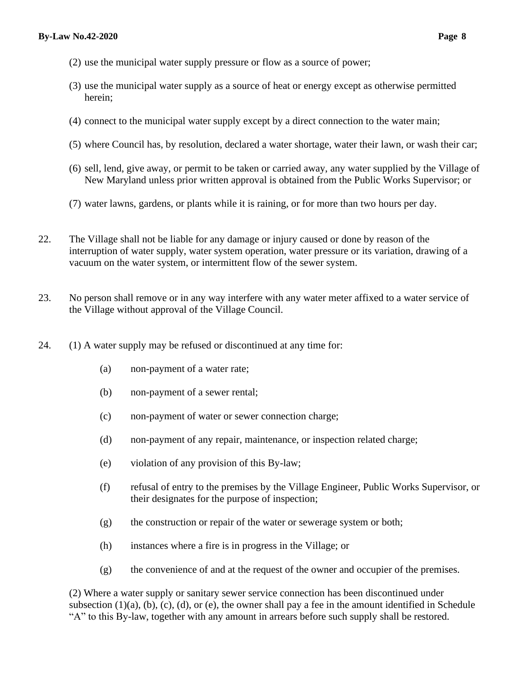- (2) use the municipal water supply pressure or flow as a source of power;
- (3) use the municipal water supply as a source of heat or energy except as otherwise permitted herein;
- (4) connect to the municipal water supply except by a direct connection to the water main;
- (5) where Council has, by resolution, declared a water shortage, water their lawn, or wash their car;
- (6) sell, lend, give away, or permit to be taken or carried away, any water supplied by the Village of New Maryland unless prior written approval is obtained from the Public Works Supervisor; or
- (7) water lawns, gardens, or plants while it is raining, or for more than two hours per day.
- 22. The Village shall not be liable for any damage or injury caused or done by reason of the interruption of water supply, water system operation, water pressure or its variation, drawing of a vacuum on the water system, or intermittent flow of the sewer system.
- 23. No person shall remove or in any way interfere with any water meter affixed to a water service of the Village without approval of the Village Council.
- 24. (1) A water supply may be refused or discontinued at any time for:
	- (a) non-payment of a water rate;
	- (b) non-payment of a sewer rental;
	- (c) non-payment of water or sewer connection charge;
	- (d) non-payment of any repair, maintenance, or inspection related charge;
	- (e) violation of any provision of this By-law;
	- (f) refusal of entry to the premises by the Village Engineer, Public Works Supervisor, or their designates for the purpose of inspection;
	- (g) the construction or repair of the water or sewerage system or both;
	- (h) instances where a fire is in progress in the Village; or
	- (g) the convenience of and at the request of the owner and occupier of the premises.

(2) Where a water supply or sanitary sewer service connection has been discontinued under subsection  $(1)(a)$ ,  $(b)$ ,  $(c)$ ,  $(d)$ , or  $(e)$ , the owner shall pay a fee in the amount identified in Schedule "A" to this By-law, together with any amount in arrears before such supply shall be restored.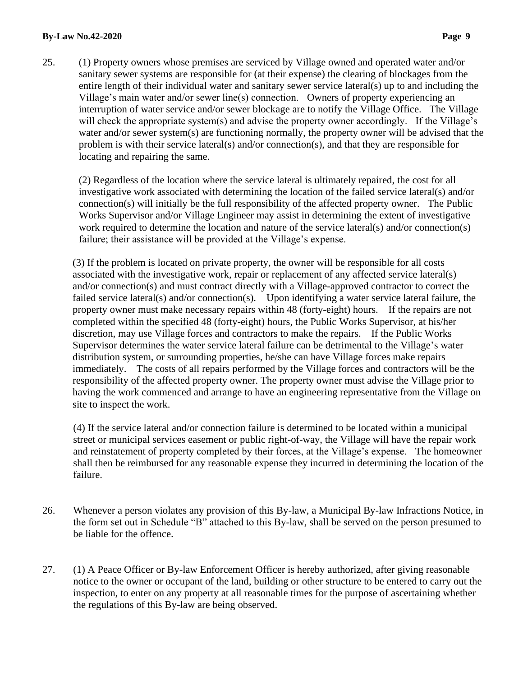#### **By-Law No.42-2020** Page 9

25. (1) Property owners whose premises are serviced by Village owned and operated water and/or sanitary sewer systems are responsible for (at their expense) the clearing of blockages from the entire length of their individual water and sanitary sewer service lateral(s) up to and including the Village's main water and/or sewer line(s) connection. Owners of property experiencing an interruption of water service and/or sewer blockage are to notify the Village Office. The Village will check the appropriate system(s) and advise the property owner accordingly. If the Village's water and/or sewer system(s) are functioning normally, the property owner will be advised that the problem is with their service lateral(s) and/or connection(s), and that they are responsible for locating and repairing the same.

(2) Regardless of the location where the service lateral is ultimately repaired, the cost for all investigative work associated with determining the location of the failed service lateral(s) and/or connection(s) will initially be the full responsibility of the affected property owner. The Public Works Supervisor and/or Village Engineer may assist in determining the extent of investigative work required to determine the location and nature of the service lateral(s) and/or connection(s) failure; their assistance will be provided at the Village's expense.

(3) If the problem is located on private property, the owner will be responsible for all costs associated with the investigative work, repair or replacement of any affected service lateral(s) and/or connection(s) and must contract directly with a Village-approved contractor to correct the failed service lateral(s) and/or connection(s). Upon identifying a water service lateral failure, the property owner must make necessary repairs within 48 (forty-eight) hours. If the repairs are not completed within the specified 48 (forty-eight) hours, the Public Works Supervisor, at his/her discretion, may use Village forces and contractors to make the repairs. If the Public Works Supervisor determines the water service lateral failure can be detrimental to the Village's water distribution system, or surrounding properties, he/she can have Village forces make repairs immediately. The costs of all repairs performed by the Village forces and contractors will be the responsibility of the affected property owner. The property owner must advise the Village prior to having the work commenced and arrange to have an engineering representative from the Village on site to inspect the work.

(4) If the service lateral and/or connection failure is determined to be located within a municipal street or municipal services easement or public right-of-way, the Village will have the repair work and reinstatement of property completed by their forces, at the Village's expense. The homeowner shall then be reimbursed for any reasonable expense they incurred in determining the location of the failure.

- 26. Whenever a person violates any provision of this By-law, a Municipal By-law Infractions Notice, in the form set out in Schedule "B" attached to this By-law, shall be served on the person presumed to be liable for the offence.
- 27. (1) A Peace Officer or By-law Enforcement Officer is hereby authorized, after giving reasonable notice to the owner or occupant of the land, building or other structure to be entered to carry out the inspection, to enter on any property at all reasonable times for the purpose of ascertaining whether the regulations of this By-law are being observed.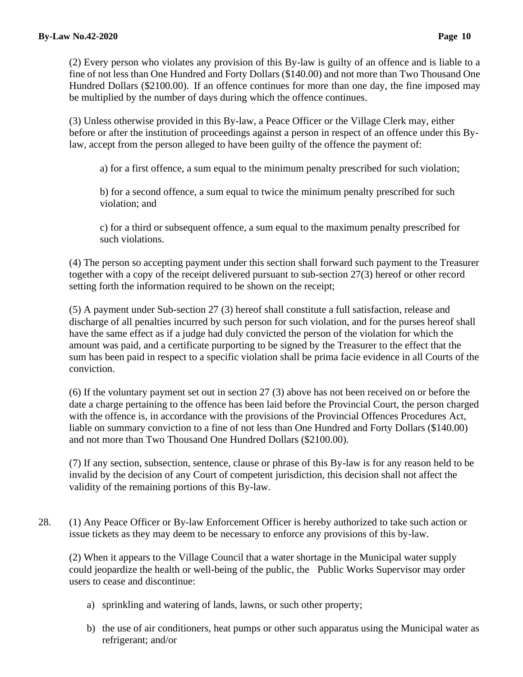(2) Every person who violates any provision of this By-law is guilty of an offence and is liable to a fine of not less than One Hundred and Forty Dollars (\$140.00) and not more than Two Thousand One Hundred Dollars (\$2100.00). If an offence continues for more than one day, the fine imposed may be multiplied by the number of days during which the offence continues.

(3) Unless otherwise provided in this By-law, a Peace Officer or the Village Clerk may, either before or after the institution of proceedings against a person in respect of an offence under this Bylaw, accept from the person alleged to have been guilty of the offence the payment of:

a) for a first offence, a sum equal to the minimum penalty prescribed for such violation;

b) for a second offence, a sum equal to twice the minimum penalty prescribed for such violation; and

c) for a third or subsequent offence, a sum equal to the maximum penalty prescribed for such violations.

(4) The person so accepting payment under this section shall forward such payment to the Treasurer together with a copy of the receipt delivered pursuant to sub-section 27(3) hereof or other record setting forth the information required to be shown on the receipt;

(5) A payment under Sub-section 27 (3) hereof shall constitute a full satisfaction, release and discharge of all penalties incurred by such person for such violation, and for the purses hereof shall have the same effect as if a judge had duly convicted the person of the violation for which the amount was paid, and a certificate purporting to be signed by the Treasurer to the effect that the sum has been paid in respect to a specific violation shall be prima facie evidence in all Courts of the conviction.

(6) If the voluntary payment set out in section 27 (3) above has not been received on or before the date a charge pertaining to the offence has been laid before the Provincial Court, the person charged with the offence is, in accordance with the provisions of the Provincial Offences Procedures Act, liable on summary conviction to a fine of not less than One Hundred and Forty Dollars (\$140.00) and not more than Two Thousand One Hundred Dollars (\$2100.00).

(7) If any section, subsection, sentence, clause or phrase of this By-law is for any reason held to be invalid by the decision of any Court of competent jurisdiction, this decision shall not affect the validity of the remaining portions of this By-law.

28. (1) Any Peace Officer or By-law Enforcement Officer is hereby authorized to take such action or issue tickets as they may deem to be necessary to enforce any provisions of this by-law.

(2) When it appears to the Village Council that a water shortage in the Municipal water supply could jeopardize the health or well-being of the public, the Public Works Supervisor may order users to cease and discontinue:

- a) sprinkling and watering of lands, lawns, or such other property;
- b) the use of air conditioners, heat pumps or other such apparatus using the Municipal water as refrigerant; and/or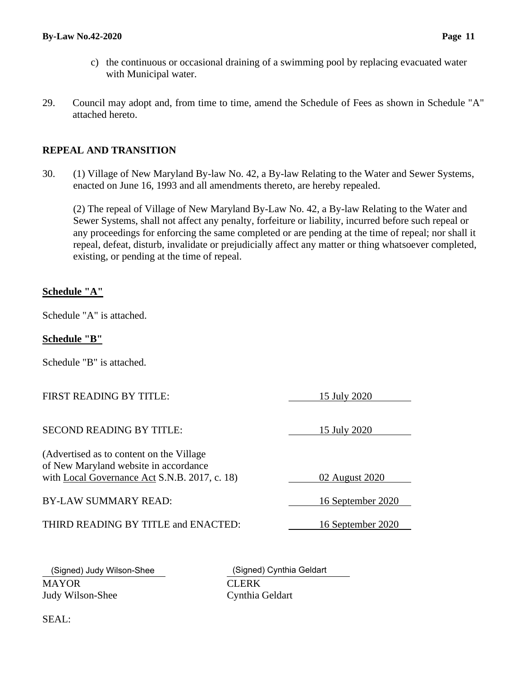- c) the continuous or occasional draining of a swimming pool by replacing evacuated water with Municipal water.
- 29. Council may adopt and, from time to time, amend the Schedule of Fees as shown in Schedule "A" attached hereto.

#### **REPEAL AND TRANSITION**

30. (1) Village of New Maryland By-law No. 42, a By-law Relating to the Water and Sewer Systems, enacted on June 16, 1993 and all amendments thereto, are hereby repealed.

(2) The repeal of Village of New Maryland By-Law No. 42, a By-law Relating to the Water and Sewer Systems, shall not affect any penalty, forfeiture or liability, incurred before such repeal or any proceedings for enforcing the same completed or are pending at the time of repeal; nor shall it repeal, defeat, disturb, invalidate or prejudicially affect any matter or thing whatsoever completed, existing, or pending at the time of repeal.

#### **Schedule "A"**

Schedule "A" is attached.

#### **Schedule "B"**

Schedule "B" is attached.

#### SECOND READING BY TITLE: 15 July 2020

(Advertised as to content on the Village of New Maryland website in accordance with <u>Local Governance Act</u> S.N.B. 2017, c. 18) 02 August 2020

BY-LAW SUMMARY READ: 16 September 2020

THIRD READING BY TITLE and ENACTED: 16 September 2020

15 July 2020

MAYOR CLERK Judy Wilson-Shee Cynthia Geldart

(Signed) Judy Wilson-Shee (Signed) Cynthia Geldart

SEAL: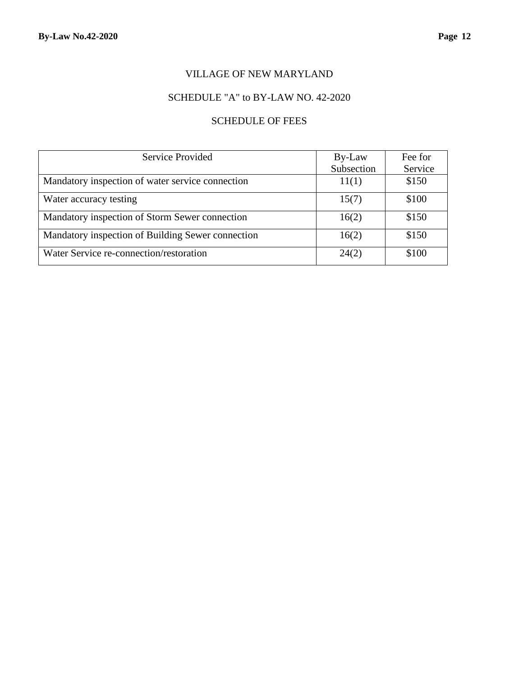### VILLAGE OF NEW MARYLAND

### SCHEDULE "A" to BY-LAW NO. 42-2020

### SCHEDULE OF FEES

| Service Provided                                  | By-Law     | Fee for |  |
|---------------------------------------------------|------------|---------|--|
|                                                   | Subsection | Service |  |
| Mandatory inspection of water service connection  | 11(1)      | \$150   |  |
| Water accuracy testing                            | 15(7)      | \$100   |  |
| Mandatory inspection of Storm Sewer connection    | 16(2)      | \$150   |  |
| Mandatory inspection of Building Sewer connection | 16(2)      | \$150   |  |
| Water Service re-connection/restoration           | 24(2)      | \$100   |  |